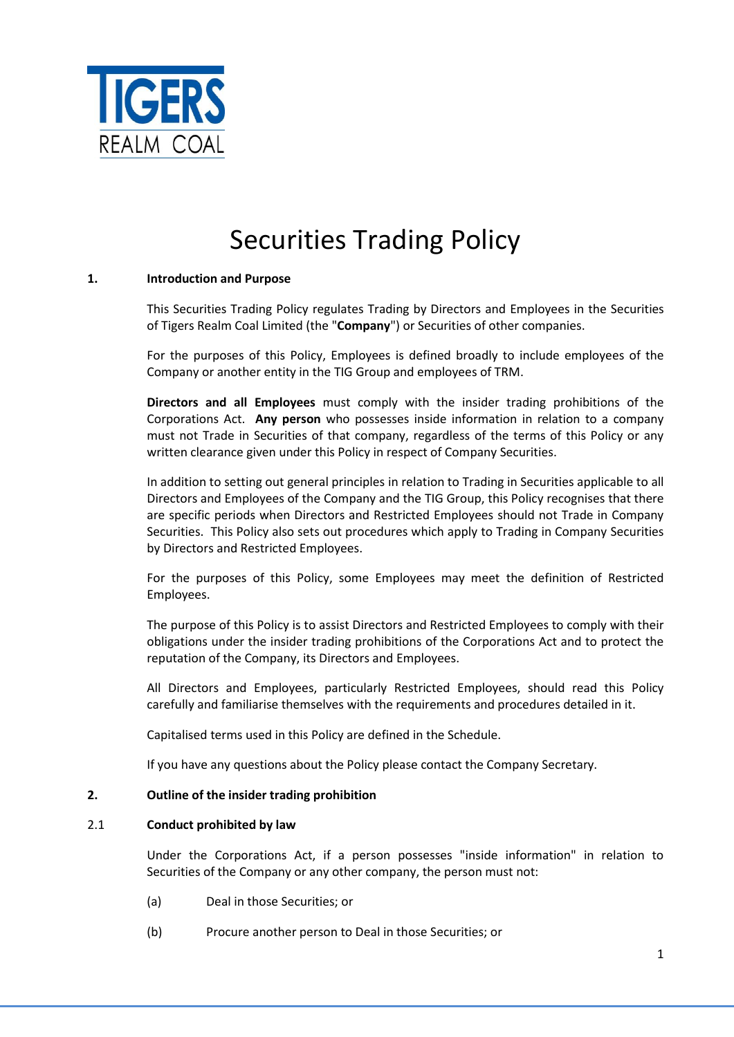

# Securities Trading Policy

## **1. Introduction and Purpose**

This Securities Trading Policy regulates Trading by Directors and Employees in the Securities of Tigers Realm Coal Limited (the "**Company**") or Securities of other companies.

For the purposes of this Policy, Employees is defined broadly to include employees of the Company or another entity in the TIG Group and employees of TRM.

**Directors and all Employees** must comply with the insider trading prohibitions of the Corporations Act. **Any person** who possesses inside information in relation to a company must not Trade in Securities of that company, regardless of the terms of this Policy or any written clearance given under this Policy in respect of Company Securities.

In addition to setting out general principles in relation to Trading in Securities applicable to all Directors and Employees of the Company and the TIG Group, this Policy recognises that there are specific periods when Directors and Restricted Employees should not Trade in Company Securities. This Policy also sets out procedures which apply to Trading in Company Securities by Directors and Restricted Employees.

For the purposes of this Policy, some Employees may meet the definition of Restricted Employees.

The purpose of this Policy is to assist Directors and Restricted Employees to comply with their obligations under the insider trading prohibitions of the Corporations Act and to protect the reputation of the Company, its Directors and Employees.

All Directors and Employees, particularly Restricted Employees, should read this Policy carefully and familiarise themselves with the requirements and procedures detailed in it.

Capitalised terms used in this Policy are defined in the Schedule.

If you have any questions about the Policy please contact the Company Secretary.

## **2. Outline of the insider trading prohibition**

#### 2.1 **Conduct prohibited by law**

Under the Corporations Act, if a person possesses "inside information" in relation to Securities of the Company or any other company, the person must not:

- (a) Deal in those Securities; or
- (b) Procure another person to Deal in those Securities; or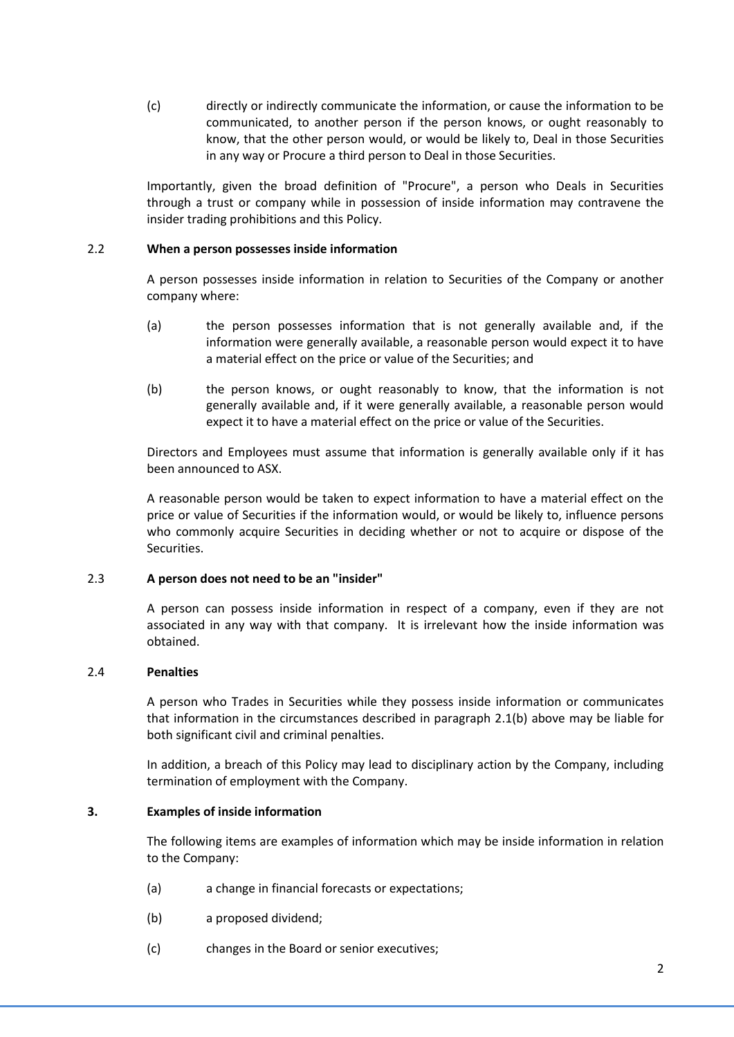(c) directly or indirectly communicate the information, or cause the information to be communicated, to another person if the person knows, or ought reasonably to know, that the other person would, or would be likely to, Deal in those Securities in any way or Procure a third person to Deal in those Securities.

Importantly, given the broad definition of "Procure", a person who Deals in Securities through a trust or company while in possession of inside information may contravene the insider trading prohibitions and this Policy.

## 2.2 **When a person possesses inside information**

A person possesses inside information in relation to Securities of the Company or another company where:

- (a) the person possesses information that is not generally available and, if the information were generally available, a reasonable person would expect it to have a material effect on the price or value of the Securities; and
- (b) the person knows, or ought reasonably to know, that the information is not generally available and, if it were generally available, a reasonable person would expect it to have a material effect on the price or value of the Securities.

Directors and Employees must assume that information is generally available only if it has been announced to ASX.

A reasonable person would be taken to expect information to have a material effect on the price or value of Securities if the information would, or would be likely to, influence persons who commonly acquire Securities in deciding whether or not to acquire or dispose of the Securities.

## 2.3 **A person does not need to be an "insider"**

A person can possess inside information in respect of a company, even if they are not associated in any way with that company. It is irrelevant how the inside information was obtained.

## 2.4 **Penalties**

A person who Trades in Securities while they possess inside information or communicates that information in the circumstances described in paragraph 2.1(b) above may be liable for both significant civil and criminal penalties.

In addition, a breach of this Policy may lead to disciplinary action by the Company, including termination of employment with the Company.

## **3. Examples of inside information**

The following items are examples of information which may be inside information in relation to the Company:

- (a) a change in financial forecasts or expectations;
- (b) a proposed dividend;
- (c) changes in the Board or senior executives;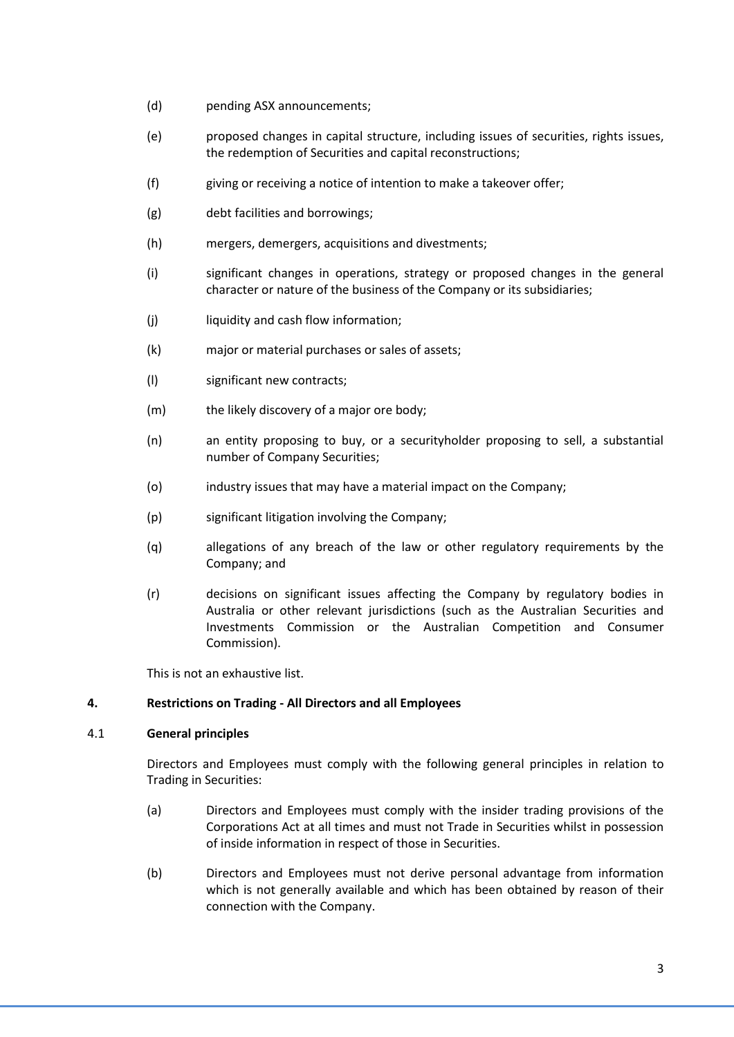- (d) pending ASX announcements;
- (e) proposed changes in capital structure, including issues of securities, rights issues, the redemption of Securities and capital reconstructions;
- (f) giving or receiving a notice of intention to make a takeover offer;
- (g) debt facilities and borrowings;
- (h) mergers, demergers, acquisitions and divestments;
- (i) significant changes in operations, strategy or proposed changes in the general character or nature of the business of the Company or its subsidiaries;
- (i) liquidity and cash flow information;
- (k) major or material purchases or sales of assets;
- (l) significant new contracts;
- (m) the likely discovery of a major ore body;
- (n) an entity proposing to buy, or a securityholder proposing to sell, a substantial number of Company Securities;
- (o) industry issues that may have a material impact on the Company;
- (p) significant litigation involving the Company;
- (q) allegations of any breach of the law or other regulatory requirements by the Company; and
- (r) decisions on significant issues affecting the Company by regulatory bodies in Australia or other relevant jurisdictions (such as the Australian Securities and Investments Commission or the Australian Competition and Consumer Commission).

This is not an exhaustive list.

## **4. Restrictions on Trading - All Directors and all Employees**

## 4.1 **General principles**

Directors and Employees must comply with the following general principles in relation to Trading in Securities:

- (a) Directors and Employees must comply with the insider trading provisions of the Corporations Act at all times and must not Trade in Securities whilst in possession of inside information in respect of those in Securities.
- (b) Directors and Employees must not derive personal advantage from information which is not generally available and which has been obtained by reason of their connection with the Company.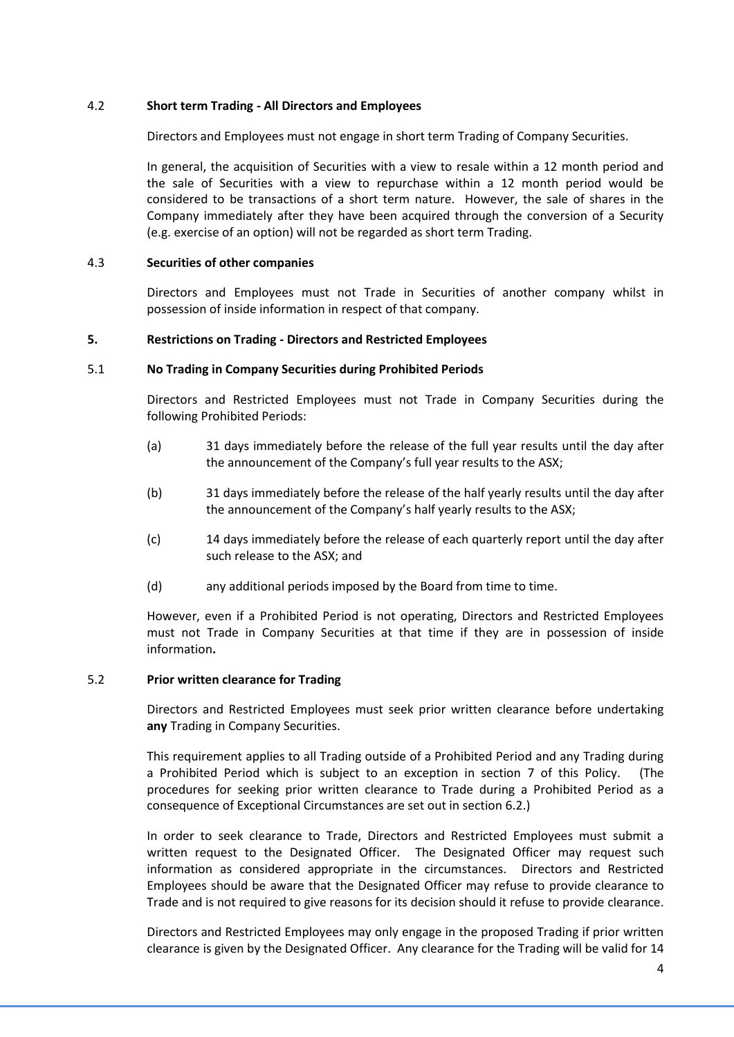## 4.2 **Short term Trading - All Directors and Employees**

Directors and Employees must not engage in short term Trading of Company Securities.

In general, the acquisition of Securities with a view to resale within a 12 month period and the sale of Securities with a view to repurchase within a 12 month period would be considered to be transactions of a short term nature. However, the sale of shares in the Company immediately after they have been acquired through the conversion of a Security (e.g. exercise of an option) will not be regarded as short term Trading.

## 4.3 **Securities of other companies**

Directors and Employees must not Trade in Securities of another company whilst in possession of inside information in respect of that company.

## **5. Restrictions on Trading - Directors and Restricted Employees**

## 5.1 **No Trading in Company Securities during Prohibited Periods**

Directors and Restricted Employees must not Trade in Company Securities during the following Prohibited Periods:

- (a) 31 days immediately before the release of the full year results until the day after the announcement of the Company's full year results to the ASX;
- (b) 31 days immediately before the release of the half yearly results until the day after the announcement of the Company's half yearly results to the ASX;
- (c) 14 days immediately before the release of each quarterly report until the day after such release to the ASX; and
- (d) any additional periods imposed by the Board from time to time.

However, even if a Prohibited Period is not operating, Directors and Restricted Employees must not Trade in Company Securities at that time if they are in possession of inside information**.**

# <span id="page-3-0"></span>5.2 **Prior written clearance for Trading**

Directors and Restricted Employees must seek prior written clearance before undertaking **any** Trading in Company Securities.

This requirement applies to all Trading outside of a Prohibited Period and any Trading during a Prohibited Period which is subject to an exception in section [7](#page-5-0) of this Policy. (The procedures for seeking prior written clearance to Trade during a Prohibited Period as a consequence of Exceptional Circumstances are set out in section [6.2.](#page-5-1))

In order to seek clearance to Trade, Directors and Restricted Employees must submit a written request to the Designated Officer. The Designated Officer may request such information as considered appropriate in the circumstances. Directors and Restricted Employees should be aware that the Designated Officer may refuse to provide clearance to Trade and is not required to give reasons for its decision should it refuse to provide clearance.

Directors and Restricted Employees may only engage in the proposed Trading if prior written clearance is given by the Designated Officer. Any clearance for the Trading will be valid for 14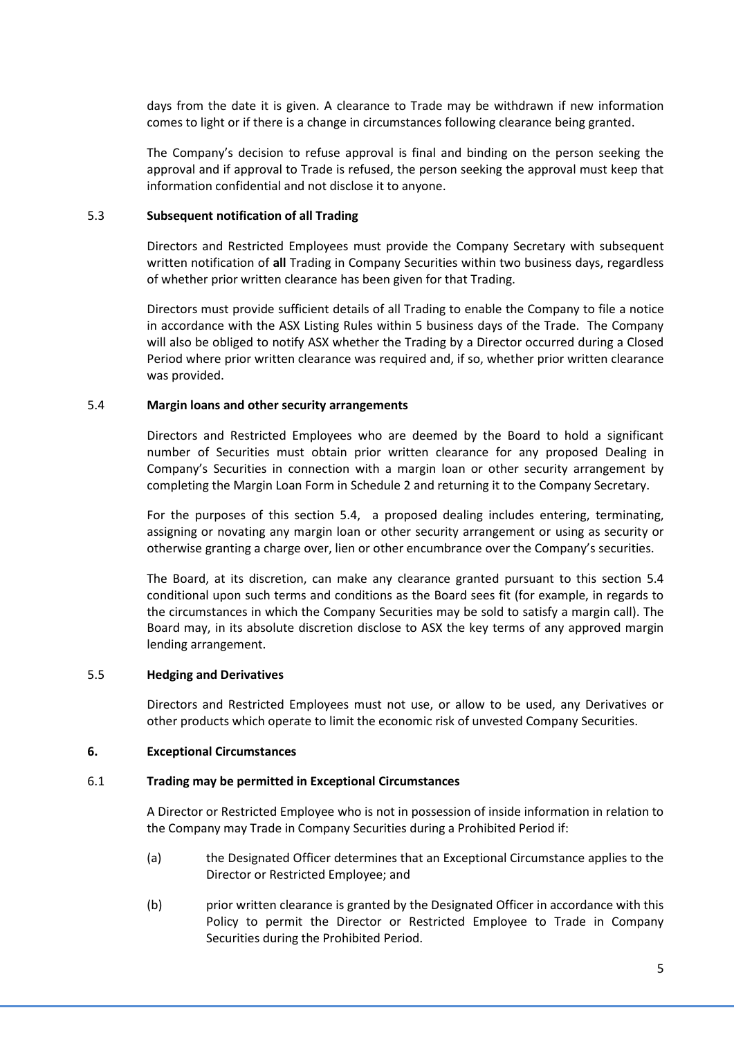days from the date it is given. A clearance to Trade may be withdrawn if new information comes to light or if there is a change in circumstances following clearance being granted.

The Company's decision to refuse approval is final and binding on the person seeking the approval and if approval to Trade is refused, the person seeking the approval must keep that information confidential and not disclose it to anyone.

#### <span id="page-4-0"></span>5.3 **Subsequent notification of all Trading**

Directors and Restricted Employees must provide the Company Secretary with subsequent written notification of **all** Trading in Company Securities within two business days, regardless of whether prior written clearance has been given for that Trading.

Directors must provide sufficient details of all Trading to enable the Company to file a notice in accordance with the ASX Listing Rules within 5 business days of the Trade. The Company will also be obliged to notify ASX whether the Trading by a Director occurred during a Closed Period where prior written clearance was required and, if so, whether prior written clearance was provided.

#### <span id="page-4-1"></span>5.4 **Margin loans and other security arrangements**

Directors and Restricted Employees who are deemed by the Board to hold a significant number of Securities must obtain prior written clearance for any proposed Dealing in Company's Securities in connection with a margin loan or other security arrangement by completing the Margin Loan Form in Schedule 2 and returning it to the Company Secretary.

For the purposes of this section 5.4, a proposed dealing includes entering, terminating, assigning or novating any margin loan or other security arrangement or using as security or otherwise granting a charge over, lien or other encumbrance over the Company's securities.

The Board, at its discretion, can make any clearance granted pursuant to this section 5.4 conditional upon such terms and conditions as the Board sees fit (for example, in regards to the circumstances in which the Company Securities may be sold to satisfy a margin call). The Board may, in its absolute discretion disclose to ASX the key terms of any approved margin lending arrangement.

#### 5.5 **Hedging and Derivatives**

Directors and Restricted Employees must not use, or allow to be used, any Derivatives or other products which operate to limit the economic risk of unvested Company Securities.

#### <span id="page-4-2"></span>**6. Exceptional Circumstances**

#### 6.1 **Trading may be permitted in Exceptional Circumstances**

A Director or Restricted Employee who is not in possession of inside information in relation to the Company may Trade in Company Securities during a Prohibited Period if:

- (a) the Designated Officer determines that an Exceptional Circumstance applies to the Director or Restricted Employee; and
- (b) prior written clearance is granted by the Designated Officer in accordance with this Policy to permit the Director or Restricted Employee to Trade in Company Securities during the Prohibited Period.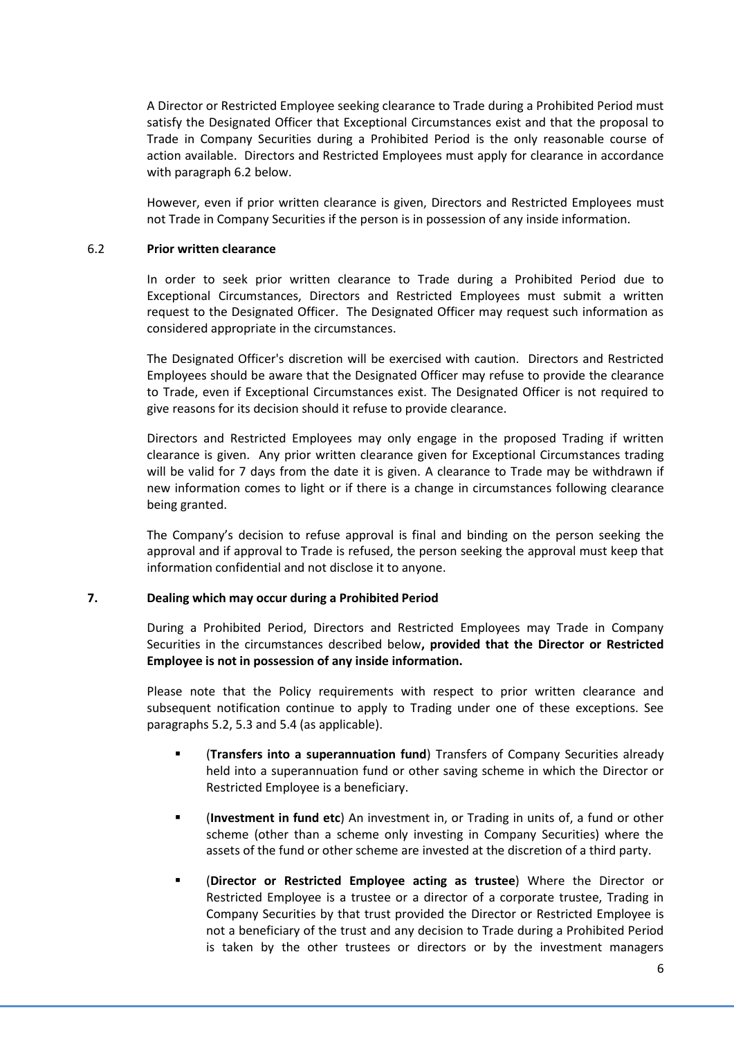A Director or Restricted Employee seeking clearance to Trade during a Prohibited Period must satisfy the Designated Officer that Exceptional Circumstances exist and that the proposal to Trade in Company Securities during a Prohibited Period is the only reasonable course of action available. Directors and Restricted Employees must apply for clearance in accordance with paragraph [6.2](#page-5-1) below.

However, even if prior written clearance is given, Directors and Restricted Employees must not Trade in Company Securities if the person is in possession of any inside information.

## <span id="page-5-1"></span>6.2 **Prior written clearance**

In order to seek prior written clearance to Trade during a Prohibited Period due to Exceptional Circumstances, Directors and Restricted Employees must submit a written request to the Designated Officer. The Designated Officer may request such information as considered appropriate in the circumstances.

The Designated Officer's discretion will be exercised with caution. Directors and Restricted Employees should be aware that the Designated Officer may refuse to provide the clearance to Trade, even if Exceptional Circumstances exist. The Designated Officer is not required to give reasons for its decision should it refuse to provide clearance.

Directors and Restricted Employees may only engage in the proposed Trading if written clearance is given. Any prior written clearance given for Exceptional Circumstances trading will be valid for 7 days from the date it is given. A clearance to Trade may be withdrawn if new information comes to light or if there is a change in circumstances following clearance being granted.

The Company's decision to refuse approval is final and binding on the person seeking the approval and if approval to Trade is refused, the person seeking the approval must keep that information confidential and not disclose it to anyone.

## <span id="page-5-0"></span>**7. Dealing which may occur during a Prohibited Period**

During a Prohibited Period, Directors and Restricted Employees may Trade in Company Securities in the circumstances described below**, provided that the Director or Restricted Employee is not in possession of any inside information.**

Please note that the Policy requirements with respect to prior written clearance and subsequent notification continue to apply to Trading under one of these exceptions. See paragraphs [5.2,](#page-3-0) [5.3](#page-4-0) and [5.4](#page-4-1) (as applicable).

- (**Transfers into a superannuation fund**) Transfers of Company Securities already held into a superannuation fund or other saving scheme in which the Director or Restricted Employee is a beneficiary.
- (**Investment in fund etc**) An investment in, or Trading in units of, a fund or other scheme (other than a scheme only investing in Company Securities) where the assets of the fund or other scheme are invested at the discretion of a third party.
- (**Director or Restricted Employee acting as trustee**) Where the Director or Restricted Employee is a trustee or a director of a corporate trustee, Trading in Company Securities by that trust provided the Director or Restricted Employee is not a beneficiary of the trust and any decision to Trade during a Prohibited Period is taken by the other trustees or directors or by the investment managers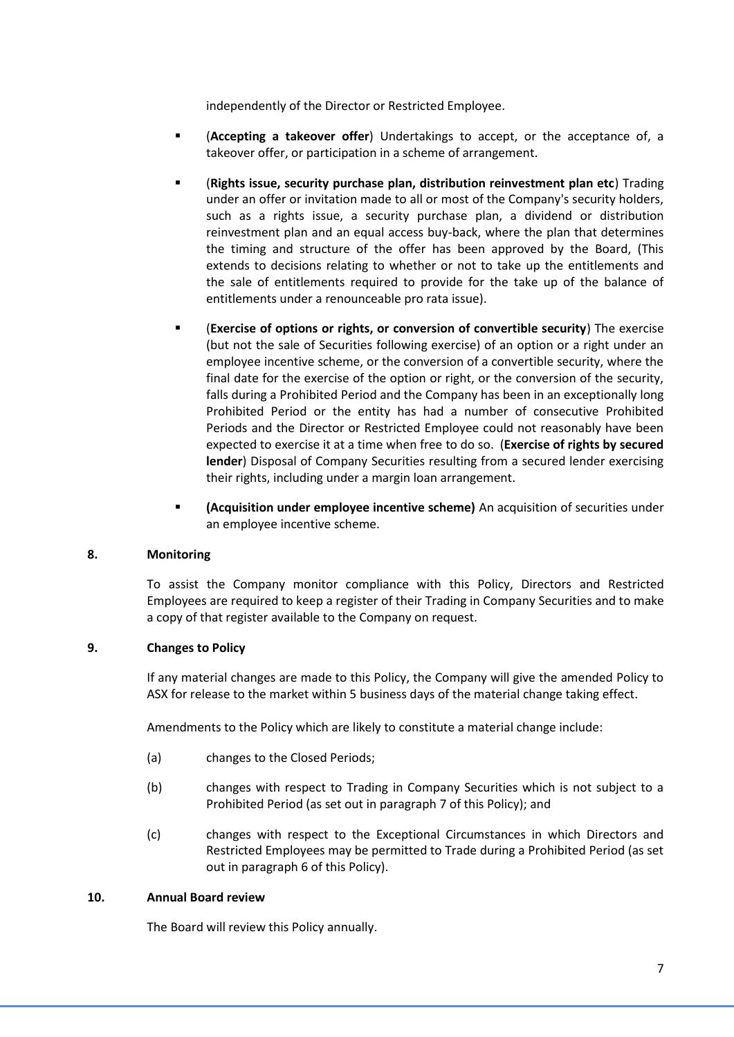independently of the Director or Restricted Employee.

- (**Accepting a takeover offer**) Undertakings to accept, or the acceptance of, a takeover offer, or participation in a scheme of arrangement.
- (**Rights issue, security purchase plan, distribution reinvestment plan etc**) Trading under an offer or invitation made to all or most of the Company's security holders, such as a rights issue, a security purchase plan, a dividend or distribution reinvestment plan and an equal access buy-back, where the plan that determines the timing and structure of the offer has been approved by the Board, (This extends to decisions relating to whether or not to take up the entitlements and the sale of entitlements required to provide for the take up of the balance of entitlements under a renounceable pro rata issue).
- (**Exercise of options or rights, or conversion of convertible security**) The exercise (but not the sale of Securities following exercise) of an option or a right under an employee incentive scheme, or the conversion of a convertible security, where the final date for the exercise of the option or right, or the conversion of the security, falls during a Prohibited Period and the Company has been in an exceptionally long Prohibited Period or the entity has had a number of consecutive Prohibited Periods and the Director or Restricted Employee could not reasonably have been expected to exercise it at a time when free to do so. (**Exercise of rights by secured lender**) Disposal of Company Securities resulting from a secured lender exercising their rights, including under a margin loan arrangement.
- **(Acquisition under employee incentive scheme)** An acquisition of securities under an employee incentive scheme.

## **8. Monitoring**

To assist the Company monitor compliance with this Policy, Directors and Restricted Employees are required to keep a register of their Trading in Company Securities and to make a copy of that register available to the Company on request.

## **9. Changes to Policy**

If any material changes are made to this Policy, the Company will give the amended Policy to ASX for release to the market within 5 business days of the material change taking effect.

Amendments to the Policy which are likely to constitute a material change include:

- (a) changes to the Closed Periods;
- (b) changes with respect to Trading in Company Securities which is not subject to a Prohibited Period (as set out in paragrap[h 7](#page-5-0) of this Policy); and
- (c) changes with respect to the Exceptional Circumstances in which Directors and Restricted Employees may be permitted to Trade during a Prohibited Period (as set out in paragraph [6](#page-4-2) of this Policy).

## **10. Annual Board review**

The Board will review this Policy annually.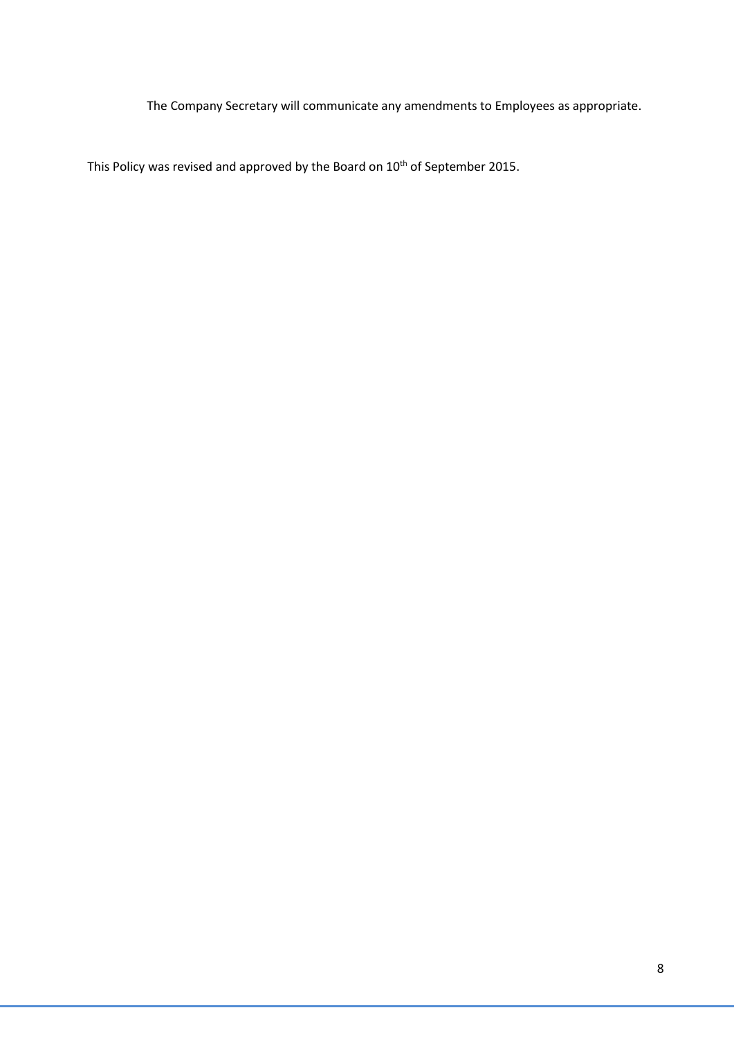The Company Secretary will communicate any amendments to Employees as appropriate.

This Policy was revised and approved by the Board on 10<sup>th</sup> of September 2015.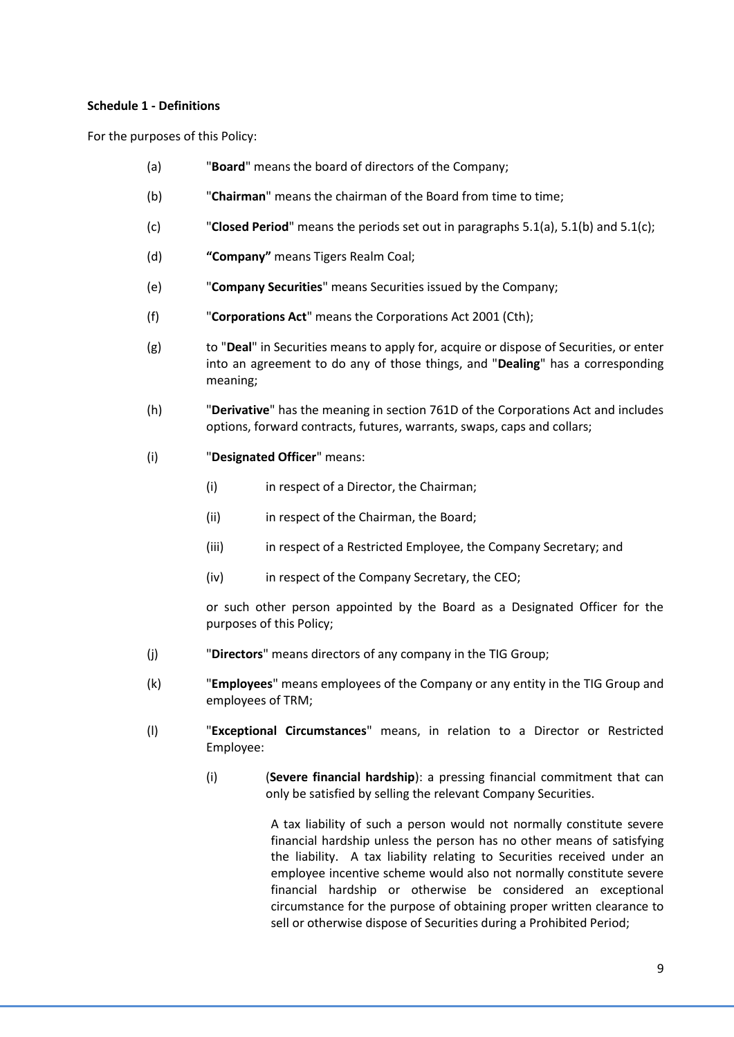## **Schedule 1 - Definitions**

For the purposes of this Policy:

- (a) "**Board**" means the board of directors of the Company;
- (b) "**Chairman**" means the chairman of the Board from time to time;
- (c) "**Closed Period**" means the periods set out in paragraphs 5.1(a), 5.1(b) and 5.1(c);
- (d) **"Company"** means Tigers Realm Coal;
- (e) "**Company Securities**" means Securities issued by the Company;
- (f) "**Corporations Act**" means the Corporations Act 2001 (Cth);
- (g) to "**Deal**" in Securities means to apply for, acquire or dispose of Securities, or enter into an agreement to do any of those things, and "**Dealing**" has a corresponding meaning;
- (h) "**Derivative**" has the meaning in section 761D of the Corporations Act and includes options, forward contracts, futures, warrants, swaps, caps and collars;
- (i) "**Designated Officer**" means:
	- (i) in respect of a Director, the Chairman;
	- (ii) in respect of the Chairman, the Board;
	- (iii) in respect of a Restricted Employee, the Company Secretary; and
	- (iv) in respect of the Company Secretary, the CEO;

or such other person appointed by the Board as a Designated Officer for the purposes of this Policy;

- (j) "**Directors**" means directors of any company in the TIG Group;
- (k) "**Employees**" means employees of the Company or any entity in the TIG Group and employees of TRM;
- (l) "**Exceptional Circumstances**" means, in relation to a Director or Restricted Employee:
	- (i) (**Severe financial hardship**): a pressing financial commitment that can only be satisfied by selling the relevant Company Securities.

A tax liability of such a person would not normally constitute severe financial hardship unless the person has no other means of satisfying the liability. A tax liability relating to Securities received under an employee incentive scheme would also not normally constitute severe financial hardship or otherwise be considered an exceptional circumstance for the purpose of obtaining proper written clearance to sell or otherwise dispose of Securities during a Prohibited Period;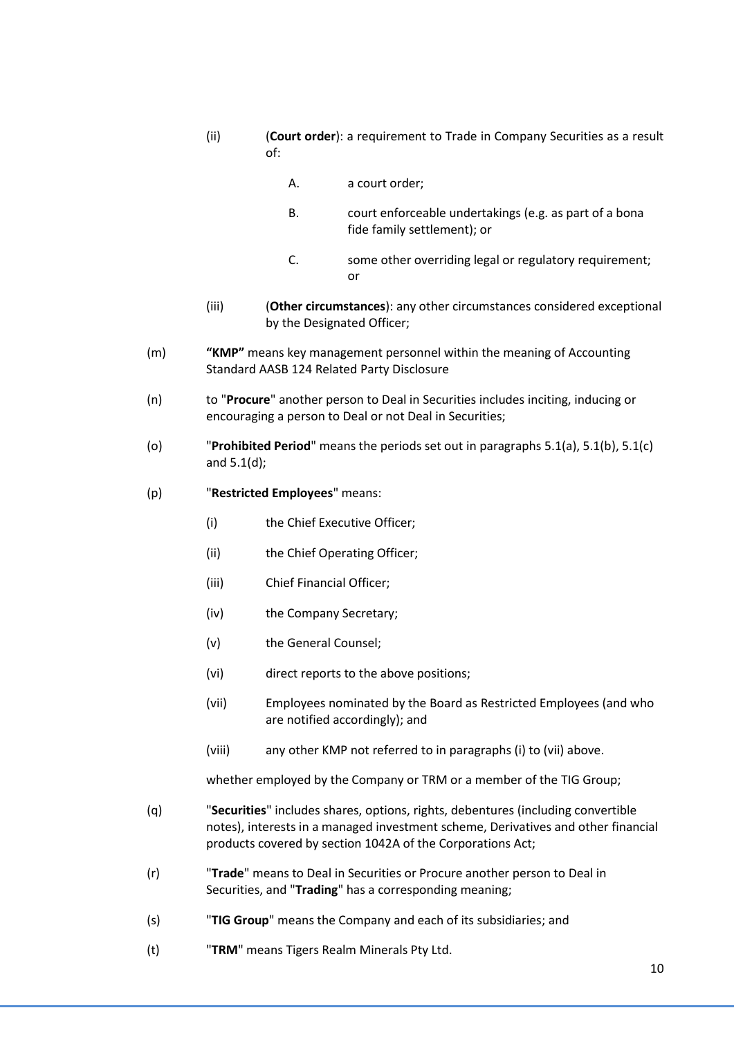- (ii) (**Court order**): a requirement to Trade in Company Securities as a result of:
	- A. a court order;
	- B. court enforceable undertakings (e.g. as part of a bona fide family settlement); or
	- C. some other overriding legal or regulatory requirement; or
- (iii) (**Other circumstances**): any other circumstances considered exceptional by the Designated Officer;
- (m) **"KMP"** means key management personnel within the meaning of Accounting Standard AASB 124 Related Party Disclosure
- (n) to "**Procure**" another person to Deal in Securities includes inciting, inducing or encouraging a person to Deal or not Deal in Securities;
- (o) "**Prohibited Period**" means the periods set out in paragraphs 5.1(a), 5.1(b), 5.1(c) and 5.1(d);
- (p) "**Restricted Employees**" means:
	- (i) the Chief Executive Officer;
	- (ii) the Chief Operating Officer;
	- (iii) Chief Financial Officer;
	- (iv) the Company Secretary;
	- (v) the General Counsel;
	- (vi) direct reports to the above positions;
	- (vii) Employees nominated by the Board as Restricted Employees (and who are notified accordingly); and
	- (viii) any other KMP not referred to in paragraphs (i) to (vii) above.

whether employed by the Company or TRM or a member of the TIG Group;

- (q) "**Securities**" includes shares, options, rights, debentures (including convertible notes), interests in a managed investment scheme, Derivatives and other financial products covered by section 1042A of the Corporations Act;
- (r) "**Trade**" means to Deal in Securities or Procure another person to Deal in Securities, and "**Trading**" has a corresponding meaning;
- (s) "**TIG Group**" means the Company and each of its subsidiaries; and
- (t) "**TRM**" means Tigers Realm Minerals Pty Ltd.